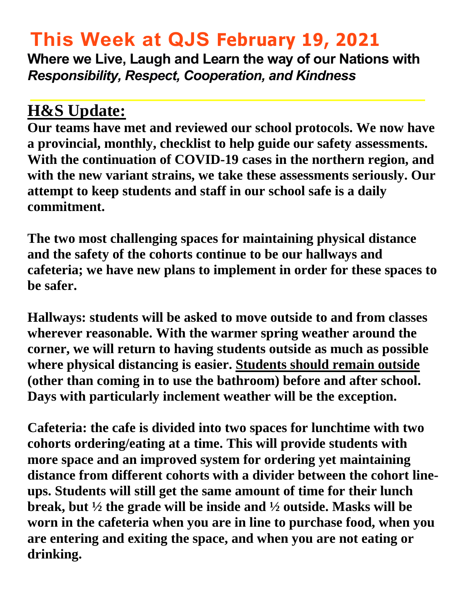# **This Week at QJS February 19, 2021**

**Where we Live, Laugh and Learn the way of our Nations with**  *Responsibility, Respect, Cooperation, and Kindness* 

## **H&S Update:**

**Our teams have met and reviewed our school protocols. We now have a provincial, monthly, checklist to help guide our safety assessments. With the continuation of COVID-19 cases in the northern region, and with the new variant strains, we take these assessments seriously. Our attempt to keep students and staff in our school safe is a daily commitment.** 

**The two most challenging spaces for maintaining physical distance and the safety of the cohorts continue to be our hallways and cafeteria; we have new plans to implement in order for these spaces to be safer.** 

**Hallways: students will be asked to move outside to and from classes wherever reasonable. With the warmer spring weather around the corner, we will return to having students outside as much as possible where physical distancing is easier. Students should remain outside (other than coming in to use the bathroom) before and after school. Days with particularly inclement weather will be the exception.** 

**Cafeteria: the cafe is divided into two spaces for lunchtime with two cohorts ordering/eating at a time. This will provide students with more space and an improved system for ordering yet maintaining distance from different cohorts with a divider between the cohort lineups. Students will still get the same amount of time for their lunch break, but ½ the grade will be inside and ½ outside. Masks will be worn in the cafeteria when you are in line to purchase food, when you are entering and exiting the space, and when you are not eating or drinking.**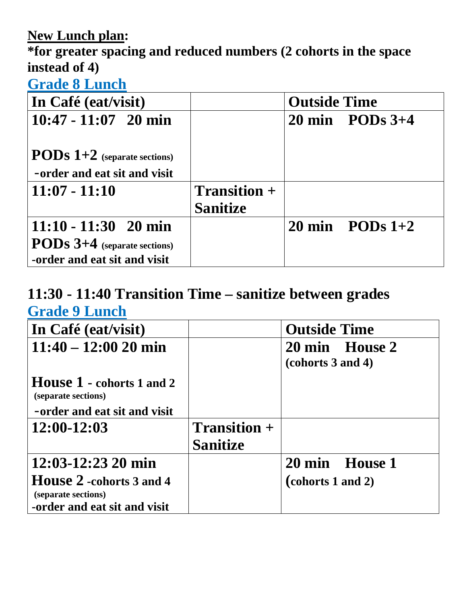#### **New Lunch plan:**

**\*for greater spacing and reduced numbers (2 cohorts in the space instead of 4)** 

#### **Grade 8 Lunch**

| In Café (eat/visit)                                                   |                 | <b>Outside Time</b> |                             |  |
|-----------------------------------------------------------------------|-----------------|---------------------|-----------------------------|--|
| $10:47 - 11:07$ 20 min                                                |                 |                     | $20 \text{ min}$ PODs $3+4$ |  |
| <b>PODS</b> $1+2$ (separate sections)<br>-order and eat sit and visit |                 |                     |                             |  |
| $11:07 - 11:10$                                                       | $Transition +$  |                     |                             |  |
|                                                                       | <b>Sanitize</b> |                     |                             |  |
| $11:10 - 11:30$ 20 min                                                |                 |                     | $20 \text{ min}$ PODs $1+2$ |  |
| <b>PODs 3+4</b> (separate sections)<br>-order and eat sit and visit   |                 |                     |                             |  |

## **11:30 - 11:40 Transition Time – sanitize between grades Grade 9 Lunch**

| In Café (eat/visit)                                                                     |                                        | <b>Outside Time</b>                 |
|-----------------------------------------------------------------------------------------|----------------------------------------|-------------------------------------|
| $11:40 - 12:00 20$ min                                                                  |                                        | 20 min House 2<br>(cohorts 3 and 4) |
| <b>House 1 - cohorts 1 and 2</b><br>(separate sections)<br>-order and eat sit and visit |                                        |                                     |
| $12:00-12:03$                                                                           | <b>Transition +</b><br><b>Sanitize</b> |                                     |
| $12:03 - 12:23$ 20 min                                                                  |                                        | 20 min House 1                      |
| <b>House 2</b> -cohorts 3 and 4<br>(separate sections)                                  |                                        | (cohorts 1 and 2)                   |
| -order and eat sit and visit                                                            |                                        |                                     |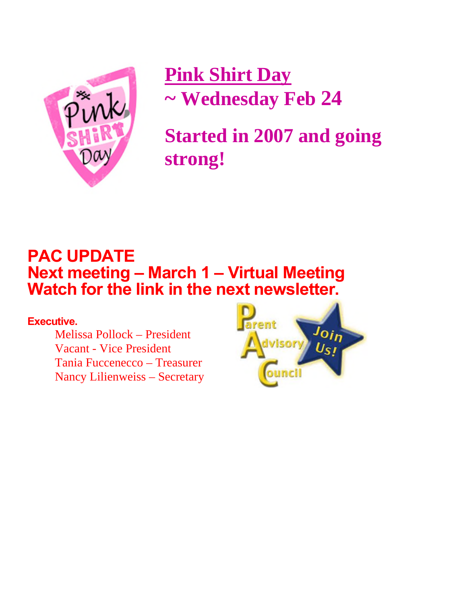

 **Pink Shirt Day ~ Wednesday Feb 24** 

**Started in 2007 and going strong!**

## **PAC UPDATE Next meeting – March 1 – Virtual Meeting Watch for the link in the next newsletter.**

#### **Executive.**

Melissa Pollock – President Vacant - Vice President Tania Fuccenecco – Treasurer Nancy Lilienweiss – Secretary

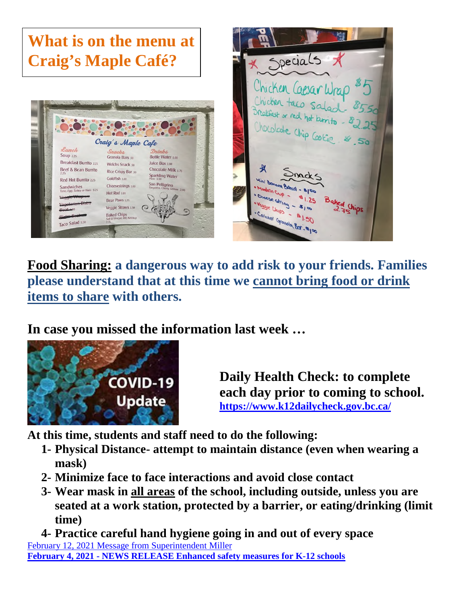

Hot Rod 1.00

Bear Paws 125 Veggie Straws 1.50

Baked Chips<br>Solt & Vinegar, Diff, Kels

Taco Salad 550



**Food Sharing: a dangerous way to add risk to your friends. Families please understand that at this time we cannot bring food or drink items to share with others.** 

**In case you missed the information last week …** 



**Daily Health Check: to complete each day prior to coming to school. <https://www.k12dailycheck.gov.bc.ca/>**

**At this time, students and staff need to do the following:** 

- **1- Physical Distance- attempt to maintain distance (even when wearing a mask)**
- **2- Minimize face to face interactions and avoid close contact**
- **3- Wear mask in all areas of the school, including outside, unless you are seated at a work station, protected by a barrier, or eating/drinking (limit time)**

**4- Practice careful hand hygiene going in and out of every space**  February 12, 2021 Message from Superintendent Miller **February 4, 2021 - NEWS RELEASE Enhanced safety measures for K-12 schools**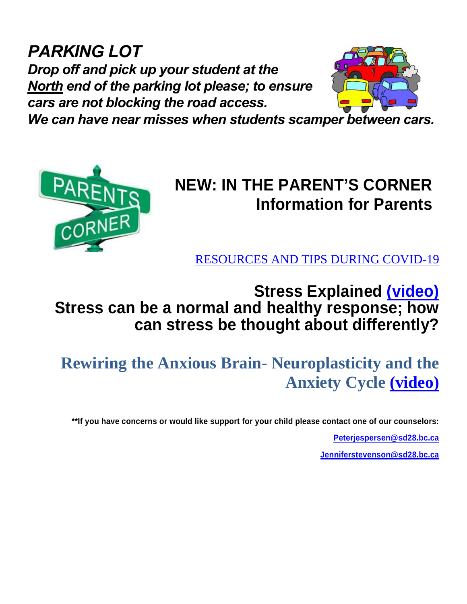*PARKING LOT Drop off and pick up your student at the North end of the parking lot please; to ensure cars are not blocking the road access.* 



*We can have near misses when students scamper between cars.* 



# **NEW: IN THE PARENT'S CORNER Information for Parents**

[RESOURCES AND TIPS DURING COVID-19](https://teenmentalhealth.org/covid-19/)

## **Stress Explained [\(video\)](https://www.youtube.com/watch?v=jHjkEfwfECo) Stress can be a normal and healthy response; how can stress be thought about differently?**

**Rewiring the Anxious Brain- Neuroplasticity and the Anxiety Cycle [\(video\)](https://www.youtube.com/watch?v=zTuX_ShUrw0)**

**\*\*If you have concerns or would like support for your child please contact one of our counselors:** 

**[Peterjespersen@sd28.bc.ca](mailto:Peterjespersen@sd28.bc.ca)**

**[Jenniferstevenson@sd28.bc.ca](mailto:Jenniferstevenson@sd28.bc.ca)**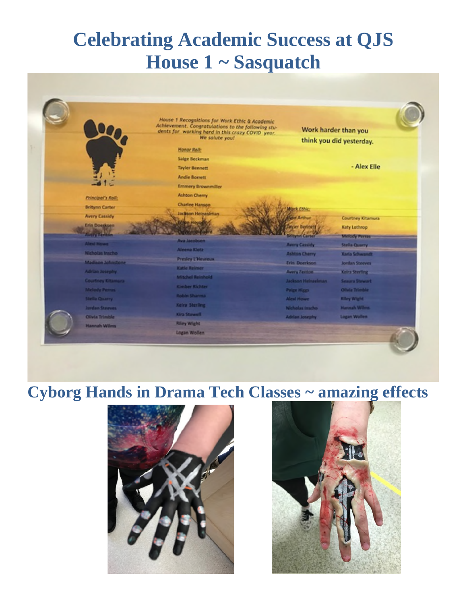# **Celebrating Academic Success at QJS House 1 ~ Sasquatch**



### **Cyborg Hands in Drama Tech Classes ~ amazing effects**



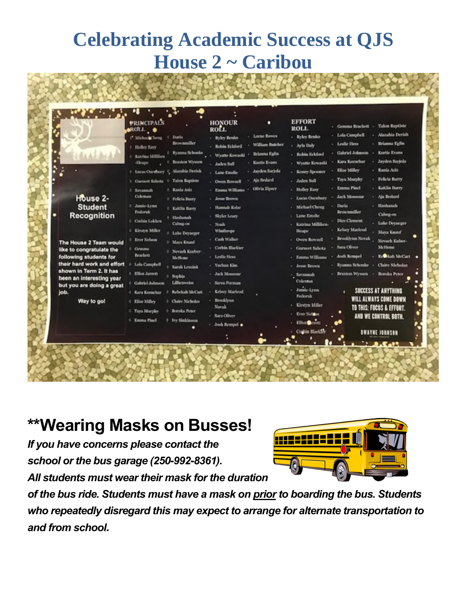# **Celebrating Academic Success at QJS House 2 ~ Caribou**

**All Concert Contract Party of Concert** 

|                                                    | <b>PRINCIPALS</b><br><b>OROTLE</b> . O |                                                                                              | <b>HONOUR</b><br>ROLL.     | п                      | <b>EFFORT</b><br>ROLL.           | - Takes Baptiste<br>- Gemma Brackett        |
|----------------------------------------------------|----------------------------------------|----------------------------------------------------------------------------------------------|----------------------------|------------------------|----------------------------------|---------------------------------------------|
|                                                    | <sup>17</sup> Michael Cheng 0 Daria    |                                                                                              | - Ryley Benkn              | Lorse Reves            | - Robert Benho                   | - Alazahia Derish<br>- Lola Campbell        |
|                                                    | 0 Holley Easy                          | Brownmiller                                                                                  | - Robin Eckford            | <b>William Butcher</b> | - Asla Dalv                      | - Brianna Eglin<br>- Leslie Hess            |
|                                                    | 0 Katrina Milliken                     | Ryanna Schoole                                                                               | Wyatte Kowashi             | <b>Brianna Falin</b>   | - Rebin Eckford                  | - Gabriel Johnson<br>Kurtis Evans           |
|                                                    | -Heape.                                | Braston Wyssen                                                                               | - Jalen Sull               | Kurtis Evans           | Wyame Kowashi                    | Jayden Sarjola<br>Kara Korachar             |
|                                                    | 0 Linza Oxenbury S                     | Alambia Derish                                                                               | - Lane Entsile             | - Jayden Sarisla       | - Kenny Spointer                 | - Rania Ariz<br>- Hite Milley               |
|                                                    | V Gurneet Saluta + Talon Raptiste      |                                                                                              | - Owen Rowsell             | Ais Bedard             | - Jaden Sull                     | - Felicia Barry<br>- Taya Marphy            |
|                                                    | 0 Savannah                             | <sup>0</sup> Kanla Ariz                                                                      | - Emma Williams            | Olivia Zipser          | <b>Holley Easy</b>               | - Kaitlin Barry<br>- Emma Pinel             |
| House 2-                                           | Coleman                                | <sup>0</sup> Felicia Barry                                                                   | - Jean-Brown               |                        | Lucus Osenhury                   | - Jack Monsour<br>+ Aia Bedard              |
| <b>Student</b>                                     | 3 Jamie-Lynn<br><b>Findermik</b>       | <b>C</b> Kaitlin Barry                                                                       | - Hannah Kolar             |                        | - Michael Cheng                  | <b>Daris</b><br>- Hashanah<br>Brownmiller   |
| Recognition                                        | Corbin Lokken                          | 8 Hashamah                                                                                   | - Skyler Leary             |                        | Lane Emslie                      | Calumnes<br><b>Dice Clement</b>             |
|                                                    |                                        | Calvag-on                                                                                    | $-$ Nouh                   |                        | - Katrina Milliken               | Lake Deyacger<br>Kelsey Macleod             |
|                                                    | <b>6 Kingen Miller</b>                 | 5 Lake Desagger                                                                              | Wintloype<br>- Cash Walker |                        | Heapy.                           | Maya Knutsf<br>Brooklynn Novak              |
| The House 2 Team would                             | <b>6 Ever Nebam</b>                    | 0 Maya Knauf                                                                                 | - Corbin Blackter          |                        | - Owen Rowsell<br>Gurmeet Subota | Nevaelt Kuber-<br>- Sara Oliver<br>McHone   |
| like to congratulate the<br>following students for | 0 Gemma<br><b>Brackett</b>             | 0 Nevach Kanber-                                                                             | - Leslie Hess              |                        | <b>Emma Williams</b>             | <b>E. Blah McCart</b><br><b>Josh Rempel</b> |
| their hard work and effort                         | 0 Lola Campbell                        | McBone                                                                                       | - Yuclan Kim               |                        | <b>Joseph Parcourts</b>          | <b>Claire Nicholas</b><br>- Ryanna Schonke  |
| shown in Term 2. It has                            | 0 Elliot Jarrett                       | 0 Sarah Lemink                                                                               | - Jack Monsour             |                        | - Savannuh                       | - Branton Wyssen<br>Boroka Peter            |
| been an interesting year                           | 0 Gabriel Johnson                      | 0 Seedria<br>Lillicovcim                                                                     | - Sates Forman             |                        | Cidentan                         |                                             |
| but you are doing a great<br>job.                  | 0 Kara Komehar                         | Rebeliah McCart                                                                              | <b>Kelsey Macleud</b>      |                        | - Jamie-Lynn                     | SUCCESS AT ANYTHING<br>٠                    |
|                                                    | <b>O</b> Elize Milley                  | 6 Claire Xicholas                                                                            | - Brocklynn                |                        | <b>Federal</b>                   | WILL ALWAYS COME DOWN                       |
| Way to go!                                         |                                        |                                                                                              | Newal:                     |                        | Kirstyn Miller                   | TO THIS: FOCUS & EFFORT.                    |
|                                                    |                                        | <sup>0</sup> Breeks Peter<br><b>C. Taya Murphy</b><br><b>6</b> Emma Pinel<br>0 hty Sinkinson | - Sara Oliver              | Ever Nelon             | ٠<br>AND WE CONTROL BOTH.        |                                             |
|                                                    |                                        |                                                                                              | - Josh Rempel .            |                        | Libra Cirrett                    |                                             |
|                                                    |                                        |                                                                                              |                            |                        | <b>Coultin Blackley</b>          | <b>OWAYNE JOHNSON</b>                       |
|                                                    |                                        |                                                                                              |                            |                        |                                  |                                             |
|                                                    |                                        |                                                                                              |                            |                        |                                  |                                             |

## **\*\*Wearing Masks on Busses!**

*If you have concerns please contact the school or the bus garage (250-992-8361). All students must wear their mask for the duration* 



*of the bus ride. Students must have a mask on prior to boarding the bus. Students who repeatedly disregard this may expect to arrange for alternate transportation to and from school.*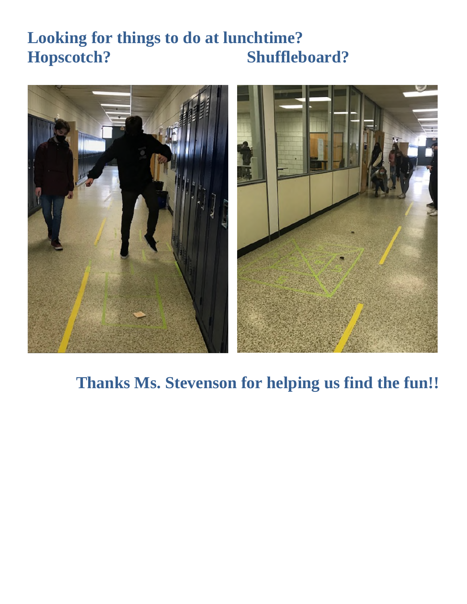# **Looking for things to do at lunchtime? Hopscotch? Shuffleboard?**



## **Thanks Ms. Stevenson for helping us find the fun!!**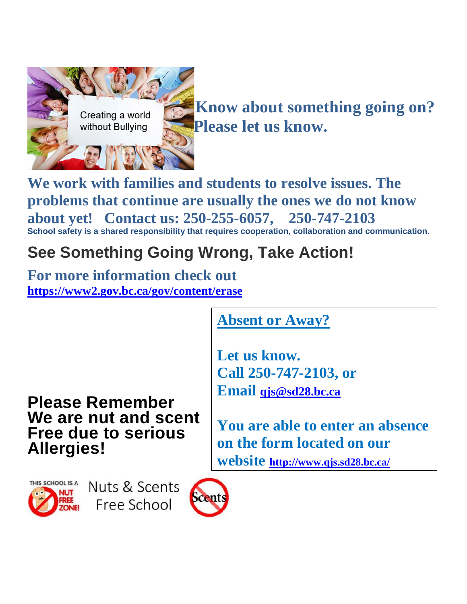

**We work with families and students to resolve issues. The problems that continue are usually the ones we do not know about yet! Contact us: 250-255-6057, 250-747-2103 School safety is a shared responsibility that requires cooperation, collaboration and communication.** 

# **See Something Going Wrong, Take Action!**

**For more information check out <https://www2.gov.bc.ca/gov/content/erase>**

**Absent or Away?** 

**Let us know. Call 250-747-2103, or Email [qjs@sd28.bc.ca](mailto:qjs@sd28.bc.ca)**

**Please Remember We are nut and scent Free due to serious Allergies!** 

**You are able to enter an absence on the form located on our website <http://www.qjs.sd28.bc.ca/>**



Nuts & Scents Free School